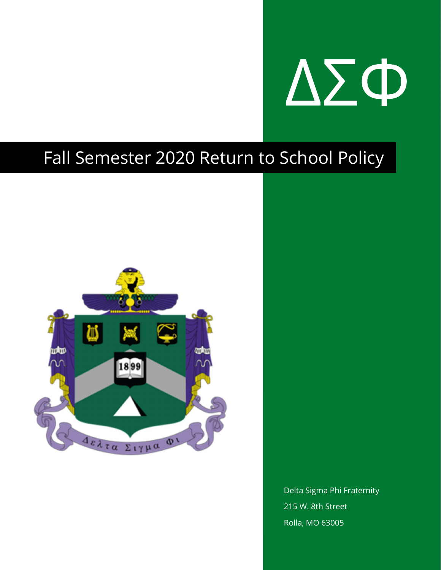

### Fall Semester 2020 Return to School Policy



Delta Sigma Phi Fraternity 215 W. 8th Street Rolla, MO 63005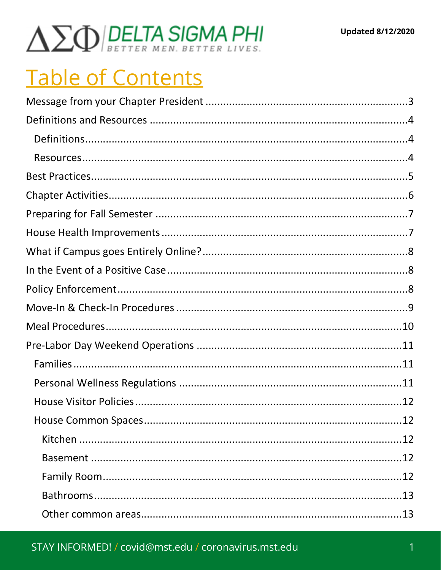# $\Delta \Sigma \Phi$ BELTA SIGMA PHI

## **Table of Contents**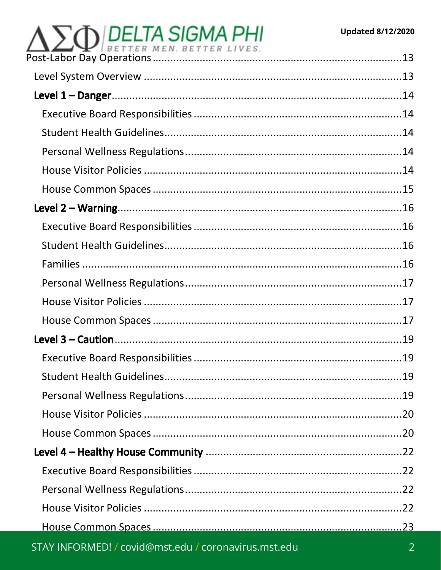#### **Updated 8/12/2020**

# $\Delta \sum_{\text{Post-Labor Day Operations}} \text{DEFITER MEN. BETTER LIVES.}$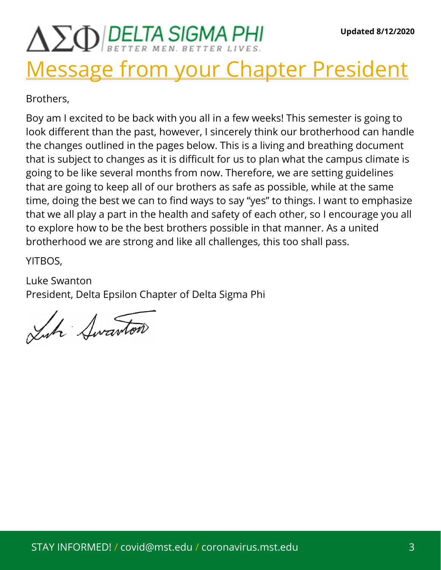## $\Delta \Sigma \Phi$  DELTA SIGMA PHI Message from your Chapter President

Brothers,

Boy am I excited to be back with you all in a few weeks! This semester is going to look different than the past, however, I sincerely think our brotherhood can handle the changes outlined in the pages below. This is a living and breathing document that is subject to changes as it is difficult for us to plan what the campus climate is going to be like several months from now. Therefore, we are setting guidelines that are going to keep all of our brothers as safe as possible, while at the same time, doing the best we can to find ways to say "yes" to things. I want to emphasize that we all play a part in the health and safety of each other, so I encourage you all to explore how to be the best brothers possible in that manner. As a united brotherhood we are strong and like all challenges, this too shall pass.

YITBOS,

Luke Swanton President, Delta Epsilon Chapter of Delta Sigma Phi

Like Awarton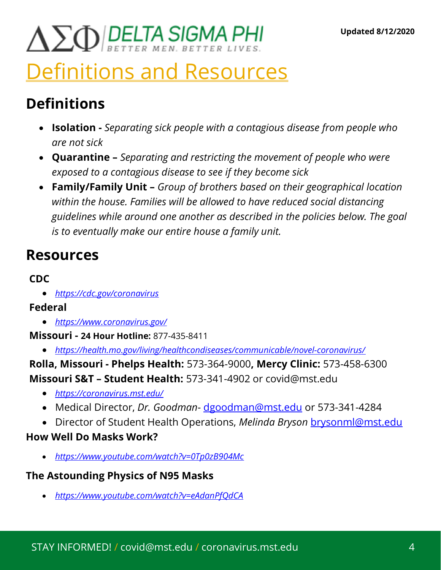# $\Delta \sum_{Q}$  DELTA SIGMA PHI

### Definitions and Resources

### Definitions

- **Isolation** Separating sick people with a contagious disease from people who are not sick
- Quarantine Separating and restricting the movement of people who were exposed to a contagious disease to see if they become sick
- Family/Family Unit Group of brothers based on their geographical location within the house. Families will be allowed to have reduced social distancing guidelines while around one another as described in the policies below. The goal is to eventually make our entire house a family unit.

### Resources

#### CDC

https://cdc.gov/coronavirus

#### Federal

- https://www.coronavirus.gov/
- Missouri 24 Hour Hotline: 877-435-8411
	- https://health.mo.gov/living/healthcondiseases/communicable/novel-coronavirus/

Rolla, Missouri - Phelps Health: 573-364-9000, Mercy Clinic: 573-458-6300 Missouri S&T – Student Health: 573-341-4902 or covid@mst.edu

- https://coronavirus.mst.edu/
- Medical Director, Dr. Goodman-dgoodman@mst.edu or 573-341-4284
- Director of Student Health Operations, Melinda Bryson brysonml@mst.edu

#### How Well Do Masks Work?

• https://www.youtube.com/watch?v=0Tp0zB904Mc

#### The Astounding Physics of N95 Masks

https://www.youtube.com/watch?v=eAdanPfQdCA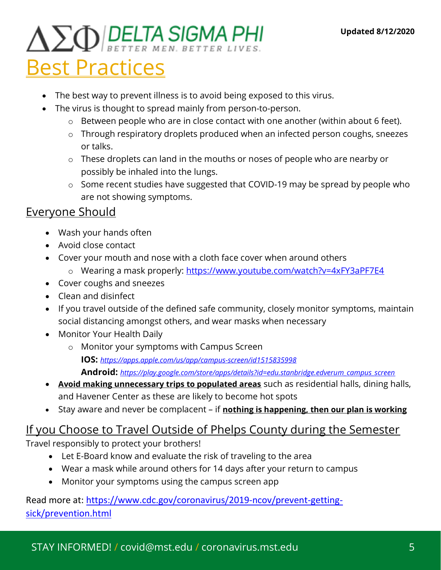# $\Delta \sum_{Q}$  DELTA SIGMA PHI

### Best Practices

- The best way to prevent illness is to avoid being exposed to this virus.
- The virus is thought to spread mainly from person-to-person.
	- o Between people who are in close contact with one another (within about 6 feet).
	- o Through respiratory droplets produced when an infected person coughs, sneezes or talks.
	- o These droplets can land in the mouths or noses of people who are nearby or possibly be inhaled into the lungs.
	- o Some recent studies have suggested that COVID-19 may be spread by people who are not showing symptoms.

#### Everyone Should

- Wash your hands often
- Avoid close contact
- Cover your mouth and nose with a cloth face cover when around others
	- o Wearing a mask properly: https://www.youtube.com/watch?v=4xFY3aPF7E4
- Cover coughs and sneezes
- Clean and disinfect
- If you travel outside of the defined safe community, closely monitor symptoms, maintain social distancing amongst others, and wear masks when necessary
- Monitor Your Health Daily
	- o Monitor your symptoms with Campus Screen IOS: https://apps.apple.com/us/app/campus-screen/id1515835998 Android: https://play.google.com/store/apps/details?id=edu.stanbridge.edverum\_campus\_screen
- Avoid making unnecessary trips to populated areas such as residential halls, dining halls, and Havener Center as these are likely to become hot spots
- Stay aware and never be complacent if nothing is happening, then our plan is working

#### If you Choose to Travel Outside of Phelps County during the Semester

Travel responsibly to protect your brothers!

- Let E-Board know and evaluate the risk of traveling to the area
- Wear a mask while around others for 14 days after your return to campus
- Monitor your symptoms using the campus screen app

Read more at: https://www.cdc.gov/coronavirus/2019-ncov/prevent-gettingsick/prevention.html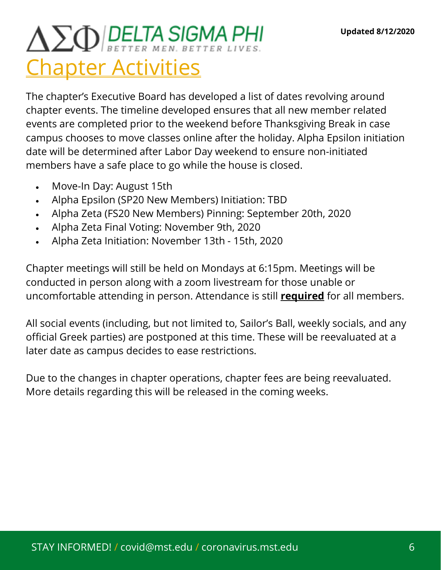## $\Delta \sum Q$  BELTA SIGMA PHI Chapter Activities

The chapter's Executive Board has developed a list of dates revolving around chapter events. The timeline developed ensures that all new member related events are completed prior to the weekend before Thanksgiving Break in case campus chooses to move classes online after the holiday. Alpha Epsilon initiation date will be determined after Labor Day weekend to ensure non-initiated members have a safe place to go while the house is closed.

- Move-In Day: August 15th
- Alpha Epsilon (SP20 New Members) Initiation: TBD
- Alpha Zeta (FS20 New Members) Pinning: September 20th, 2020
- Alpha Zeta Final Voting: November 9th, 2020
- Alpha Zeta Initiation: November 13th 15th, 2020

Chapter meetings will still be held on Mondays at 6:15pm. Meetings will be conducted in person along with a zoom livestream for those unable or uncomfortable attending in person. Attendance is still **required** for all members.

All social events (including, but not limited to, Sailor's Ball, weekly socials, and any official Greek parties) are postponed at this time. These will be reevaluated at a later date as campus decides to ease restrictions.

Due to the changes in chapter operations, chapter fees are being reevaluated. More details regarding this will be released in the coming weeks.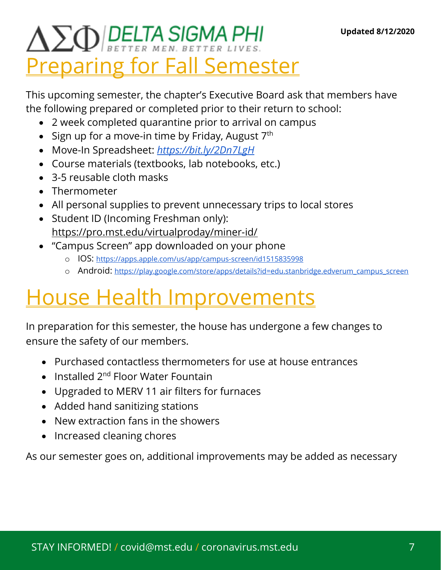## $\Delta \sum_{Q}$  DELTA SIGMA PHI **Preparing for Fall Semester**

This upcoming semester, the chapter's Executive Board ask that members have the following prepared or completed prior to their return to school:

- 2 week completed quarantine prior to arrival on campus
- Sign up for a move-in time by Friday, August  $7<sup>th</sup>$
- Move-In Spreadsheet: https://bit.ly/2Dn7LgH
- Course materials (textbooks, lab notebooks, etc.)
- 3-5 reusable cloth masks
- Thermometer
- All personal supplies to prevent unnecessary trips to local stores
- Student ID (Incoming Freshman only): https://pro.mst.edu/virtualproday/miner-id/
- "Campus Screen" app downloaded on your phone
	- o IOS: https://apps.apple.com/us/app/campus-screen/id1515835998
	- o Android: https://play.google.com/store/apps/details?id=edu.stanbridge.edverum\_campus\_screen

## House Health Improvements

In preparation for this semester, the house has undergone a few changes to ensure the safety of our members.

- Purchased contactless thermometers for use at house entrances
- Installed  $2^{nd}$  Floor Water Fountain
- Upgraded to MERV 11 air filters for furnaces
- Added hand sanitizing stations
- New extraction fans in the showers
- Increased cleaning chores

As our semester goes on, additional improvements may be added as necessary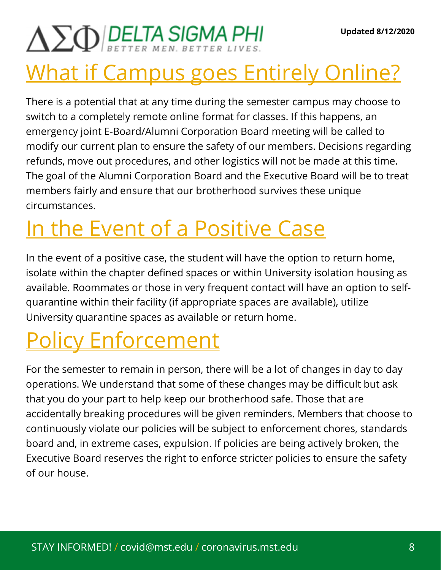# $\Delta \Sigma \Phi$  DELTA SIGMA PHI

## What if Campus goes Entirely Online?

There is a potential that at any time during the semester campus may choose to switch to a completely remote online format for classes. If this happens, an emergency joint E-Board/Alumni Corporation Board meeting will be called to modify our current plan to ensure the safety of our members. Decisions regarding refunds, move out procedures, and other logistics will not be made at this time. The goal of the Alumni Corporation Board and the Executive Board will be to treat members fairly and ensure that our brotherhood survives these unique circumstances.

## In the Event of a Positive Case

In the event of a positive case, the student will have the option to return home, isolate within the chapter defined spaces or within University isolation housing as available. Roommates or those in very frequent contact will have an option to selfquarantine within their facility (if appropriate spaces are available), utilize University quarantine spaces as available or return home.

## Policy Enforcement

For the semester to remain in person, there will be a lot of changes in day to day operations. We understand that some of these changes may be difficult but ask that you do your part to help keep our brotherhood safe. Those that are accidentally breaking procedures will be given reminders. Members that choose to continuously violate our policies will be subject to enforcement chores, standards board and, in extreme cases, expulsion. If policies are being actively broken, the Executive Board reserves the right to enforce stricter policies to ensure the safety of our house.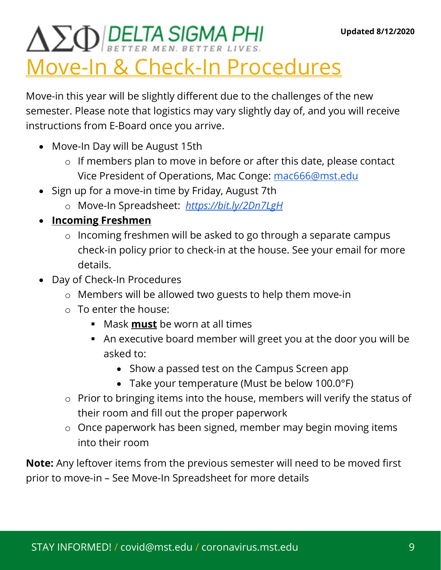## $\Delta \sum_{Q}$  DELTA SIGMA PHI Move-In & Check-In Procedures

Move-in this year will be slightly different due to the challenges of the new semester. Please note that logistics may vary slightly day of, and you will receive instructions from E-Board once you arrive.

- Move-In Day will be August 15th
	- o If members plan to move in before or after this date, please contact Vice President of Operations, Mac Conge: mac666@mst.edu
- Sign up for a move-in time by Friday, August 7th
	- o Move-In Spreadsheet: https://bit.ly/2Dn7LgH
- Incoming Freshmen
	- o Incoming freshmen will be asked to go through a separate campus check-in policy prior to check-in at the house. See your email for more details.
- Day of Check-In Procedures
	- o Members will be allowed two guests to help them move-in
	- o To enter the house:
		- Mask must be worn at all times
		- An executive board member will greet you at the door you will be asked to:
			- Show a passed test on the Campus Screen app
			- Take your temperature (Must be below 100.0°F)
	- o Prior to bringing items into the house, members will verify the status of their room and fill out the proper paperwork
	- o Once paperwork has been signed, member may begin moving items into their room

Note: Any leftover items from the previous semester will need to be moved first prior to move-in – See Move-In Spreadsheet for more details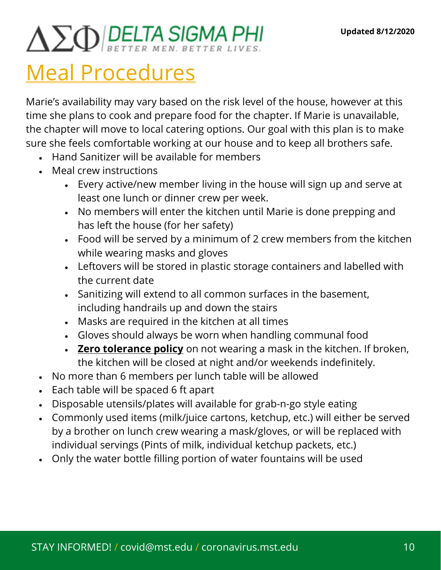# $\Delta \sum Q$  BELTA SIGMA PHI

### Meal Procedures

Marie's availability may vary based on the risk level of the house, however at this time she plans to cook and prepare food for the chapter. If Marie is unavailable, the chapter will move to local catering options. Our goal with this plan is to make sure she feels comfortable working at our house and to keep all brothers safe.

- Hand Sanitizer will be available for members
- Meal crew instructions
	- Every active/new member living in the house will sign up and serve at least one lunch or dinner crew per week.
	- No members will enter the kitchen until Marie is done prepping and has left the house (for her safety)
	- Food will be served by a minimum of 2 crew members from the kitchen while wearing masks and gloves
	- Leftovers will be stored in plastic storage containers and labelled with the current date
	- Sanitizing will extend to all common surfaces in the basement, including handrails up and down the stairs
	- Masks are required in the kitchen at all times
	- Gloves should always be worn when handling communal food
	- Zero tolerance policy on not wearing a mask in the kitchen. If broken, the kitchen will be closed at night and/or weekends indefinitely.
- No more than 6 members per lunch table will be allowed
- Each table will be spaced 6 ft apart
- Disposable utensils/plates will available for grab-n-go style eating
- Commonly used items (milk/juice cartons, ketchup, etc.) will either be served by a brother on lunch crew wearing a mask/gloves, or will be replaced with individual servings (Pints of milk, individual ketchup packets, etc.)
- Only the water bottle filling portion of water fountains will be used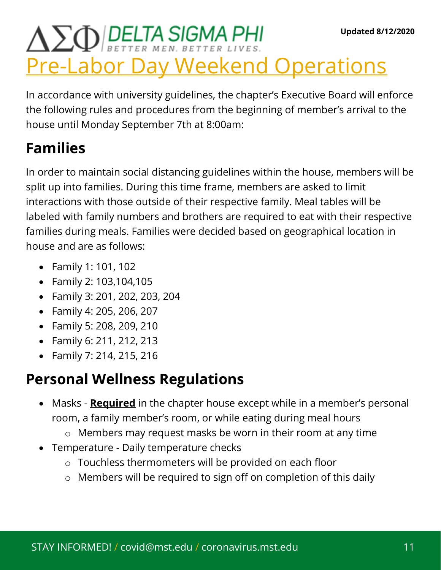## $\Delta \Sigma \Phi$  DELTA SIGMA PHI Pre-Labor Day Weekend Operations

In accordance with university guidelines, the chapter's Executive Board will enforce the following rules and procedures from the beginning of member's arrival to the house until Monday September 7th at 8:00am:

### Families

In order to maintain social distancing guidelines within the house, members will be split up into families. During this time frame, members are asked to limit interactions with those outside of their respective family. Meal tables will be labeled with family numbers and brothers are required to eat with their respective families during meals. Families were decided based on geographical location in house and are as follows:

- Family 1: 101, 102
- Family 2: 103,104,105
- Family 3: 201, 202, 203, 204
- Family 4: 205, 206, 207
- Family 5: 208, 209, 210
- Family 6: 211, 212, 213
- Family 7: 214, 215, 216

### Personal Wellness Regulations

- Masks **Required** in the chapter house except while in a member's personal room, a family member's room, or while eating during meal hours
	- o Members may request masks be worn in their room at any time
- Temperature Daily temperature checks
	- o Touchless thermometers will be provided on each floor
	- o Members will be required to sign off on completion of this daily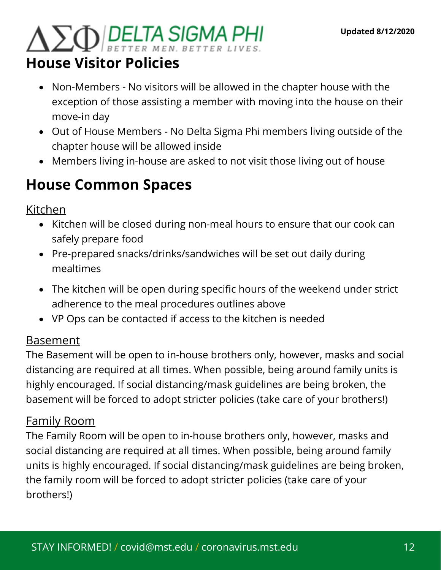# $\Delta \Sigma \Phi$  DELTA SIGMA PHI

### House Visitor Policies

- Non-Members No visitors will be allowed in the chapter house with the exception of those assisting a member with moving into the house on their move-in day
- Out of House Members No Delta Sigma Phi members living outside of the chapter house will be allowed inside
- Members living in-house are asked to not visit those living out of house

### House Common Spaces

Kitchen

- Kitchen will be closed during non-meal hours to ensure that our cook can safely prepare food
- Pre-prepared snacks/drinks/sandwiches will be set out daily during mealtimes
- The kitchen will be open during specific hours of the weekend under strict adherence to the meal procedures outlines above
- VP Ops can be contacted if access to the kitchen is needed

#### Basement

The Basement will be open to in-house brothers only, however, masks and social distancing are required at all times. When possible, being around family units is highly encouraged. If social distancing/mask guidelines are being broken, the basement will be forced to adopt stricter policies (take care of your brothers!)

#### Family Room

The Family Room will be open to in-house brothers only, however, masks and social distancing are required at all times. When possible, being around family units is highly encouraged. If social distancing/mask guidelines are being broken, the family room will be forced to adopt stricter policies (take care of your brothers!)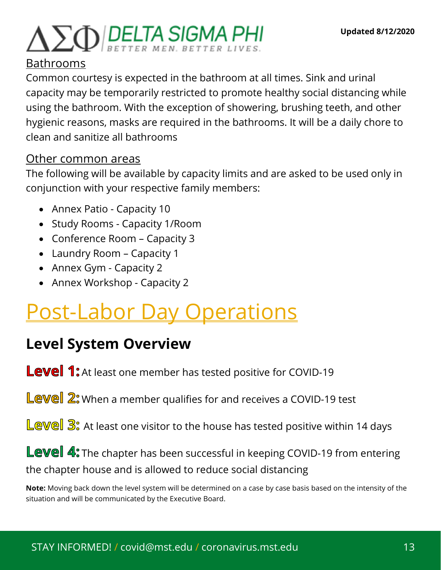# $\Delta \Sigma \Phi$  DELTA SIGMA PHI

#### Bathrooms

Common courtesy is expected in the bathroom at all times. Sink and urinal capacity may be temporarily restricted to promote healthy social distancing while using the bathroom. With the exception of showering, brushing teeth, and other hygienic reasons, masks are required in the bathrooms. It will be a daily chore to clean and sanitize all bathrooms

#### Other common areas

The following will be available by capacity limits and are asked to be used only in conjunction with your respective family members:

- Annex Patio Capacity 10
- Study Rooms Capacity 1/Room
- Conference Room Capacity 3
- Laundry Room Capacity 1
- Annex Gym Capacity 2
- Annex Workshop Capacity 2

## Post-Labor Day Operations

### Level System Overview

Level 1: At least one member has tested positive for COVID-19

- Level 2: When a member qualifies for and receives a COVID-19 test
- Level 3: At least one visitor to the house has tested positive within 14 days

Level 4: The chapter has been successful in keeping COVID-19 from entering the chapter house and is allowed to reduce social distancing

Note: Moving back down the level system will be determined on a case by case basis based on the intensity of the situation and will be communicated by the Executive Board.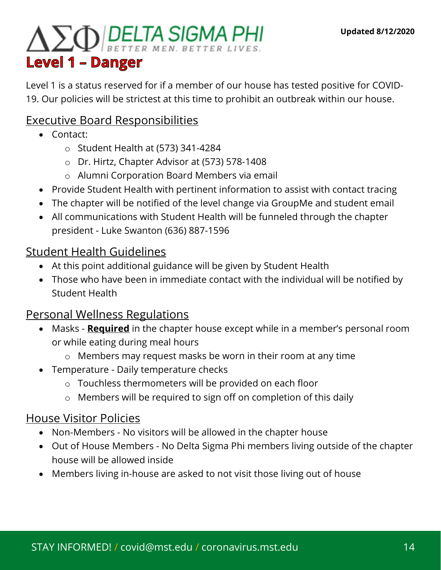## $\Delta \Sigma \Phi$  DELTA SIGMA PHI **Level 1 - Danger**

Level 1 is a status reserved for if a member of our house has tested positive for COVID-19. Our policies will be strictest at this time to prohibit an outbreak within our house.

#### Executive Board Responsibilities

- Contact:
	- o Student Health at (573) 341-4284
	- o Dr. Hirtz, Chapter Advisor at (573) 578-1408
	- o Alumni Corporation Board Members via email
- Provide Student Health with pertinent information to assist with contact tracing
- The chapter will be notified of the level change via GroupMe and student email
- All communications with Student Health will be funneled through the chapter president - Luke Swanton (636) 887-1596

#### Student Health Guidelines

- At this point additional guidance will be given by Student Health
- Those who have been in immediate contact with the individual will be notified by Student Health

#### Personal Wellness Regulations

- Masks **Required** in the chapter house except while in a member's personal room or while eating during meal hours
	- o Members may request masks be worn in their room at any time
- Temperature Daily temperature checks
	- o Touchless thermometers will be provided on each floor
	- o Members will be required to sign off on completion of this daily

#### House Visitor Policies

- Non-Members No visitors will be allowed in the chapter house
- Out of House Members No Delta Sigma Phi members living outside of the chapter house will be allowed inside
- Members living in-house are asked to not visit those living out of house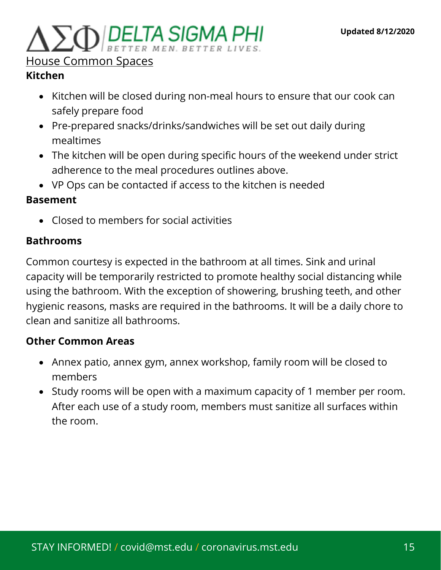## 

#### House Common Spaces

#### Kitchen

- Kitchen will be closed during non-meal hours to ensure that our cook can safely prepare food
- Pre-prepared snacks/drinks/sandwiches will be set out daily during mealtimes
- The kitchen will be open during specific hours of the weekend under strict adherence to the meal procedures outlines above.
- VP Ops can be contacted if access to the kitchen is needed

#### Basement

Closed to members for social activities

#### Bathrooms

Common courtesy is expected in the bathroom at all times. Sink and urinal capacity will be temporarily restricted to promote healthy social distancing while using the bathroom. With the exception of showering, brushing teeth, and other hygienic reasons, masks are required in the bathrooms. It will be a daily chore to clean and sanitize all bathrooms.

#### Other Common Areas

- Annex patio, annex gym, annex workshop, family room will be closed to members
- Study rooms will be open with a maximum capacity of 1 member per room. After each use of a study room, members must sanitize all surfaces within the room.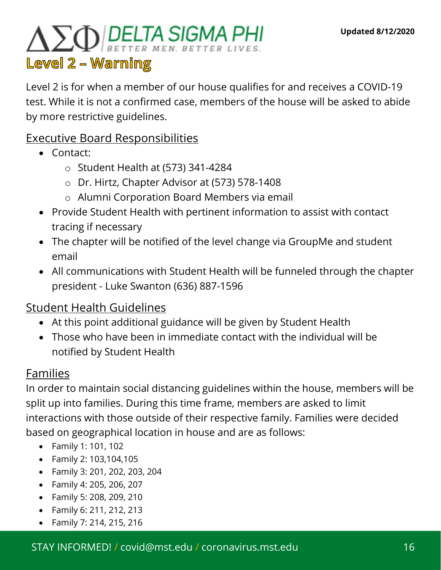## $\Delta \sum_{Q}$  DELTA SIGMA PHI Level 2 - Warning

Level 2 is for when a member of our house qualifies for and receives a COVID-19 test. While it is not a confirmed case, members of the house will be asked to abide by more restrictive guidelines.

#### Executive Board Responsibilities

- Contact:
	- o Student Health at (573) 341-4284
	- o Dr. Hirtz, Chapter Advisor at (573) 578-1408
	- o Alumni Corporation Board Members via email
- Provide Student Health with pertinent information to assist with contact tracing if necessary
- The chapter will be notified of the level change via GroupMe and student email
- All communications with Student Health will be funneled through the chapter president - Luke Swanton (636) 887-1596

#### Student Health Guidelines

- At this point additional guidance will be given by Student Health
- Those who have been in immediate contact with the individual will be notified by Student Health

#### Families

In order to maintain social distancing guidelines within the house, members will be split up into families. During this time frame, members are asked to limit interactions with those outside of their respective family. Families were decided based on geographical location in house and are as follows:

- Family 1: 101, 102
- Family 2: 103,104,105
- Family 3: 201, 202, 203, 204
- Family 4: 205, 206, 207
- Family 5: 208, 209, 210
- Family 6: 211, 212, 213
- Family 7: 214, 215, 216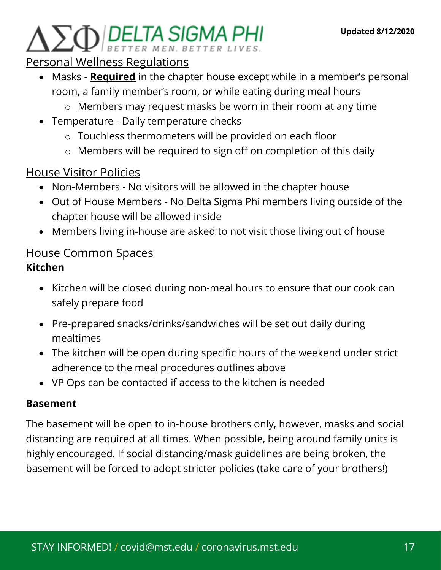# 

#### Personal Wellness Regulations

- Masks **Required** in the chapter house except while in a member's personal room, a family member's room, or while eating during meal hours
	- o Members may request masks be worn in their room at any time
- Temperature Daily temperature checks
	- o Touchless thermometers will be provided on each floor
	- o Members will be required to sign off on completion of this daily

#### House Visitor Policies

- Non-Members No visitors will be allowed in the chapter house
- Out of House Members No Delta Sigma Phi members living outside of the chapter house will be allowed inside
- Members living in-house are asked to not visit those living out of house

#### House Common Spaces Kitchen

- Kitchen will be closed during non-meal hours to ensure that our cook can safely prepare food
- Pre-prepared snacks/drinks/sandwiches will be set out daily during mealtimes
- The kitchen will be open during specific hours of the weekend under strict adherence to the meal procedures outlines above
- VP Ops can be contacted if access to the kitchen is needed

#### Basement

The basement will be open to in-house brothers only, however, masks and social distancing are required at all times. When possible, being around family units is highly encouraged. If social distancing/mask guidelines are being broken, the basement will be forced to adopt stricter policies (take care of your brothers!)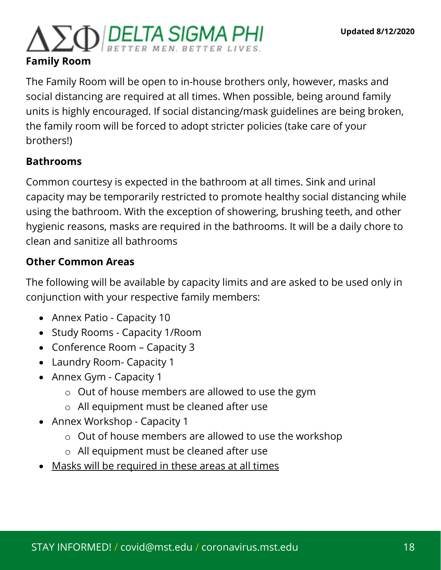# $\sum_{\mathbf{Q}}$  DELTA SIGMA PHI

#### Family Room

The Family Room will be open to in-house brothers only, however, masks and social distancing are required at all times. When possible, being around family units is highly encouraged. If social distancing/mask guidelines are being broken, the family room will be forced to adopt stricter policies (take care of your brothers!)

#### Bathrooms

Common courtesy is expected in the bathroom at all times. Sink and urinal capacity may be temporarily restricted to promote healthy social distancing while using the bathroom. With the exception of showering, brushing teeth, and other hygienic reasons, masks are required in the bathrooms. It will be a daily chore to clean and sanitize all bathrooms

#### Other Common Areas

The following will be available by capacity limits and are asked to be used only in conjunction with your respective family members:

- Annex Patio Capacity 10
- Study Rooms Capacity 1/Room
- Conference Room Capacity 3
- Laundry Room- Capacity 1
- Annex Gym Capacity 1
	- o Out of house members are allowed to use the gym
	- o All equipment must be cleaned after use
- Annex Workshop Capacity 1
	- o Out of house members are allowed to use the workshop
	- o All equipment must be cleaned after use
- Masks will be required in these areas at all times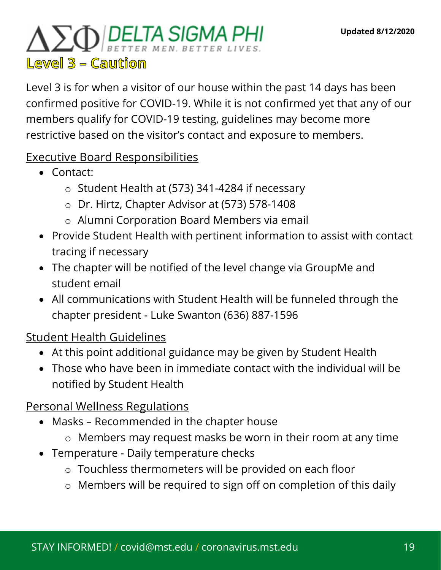## $\Delta \Sigma \Phi$  DELTA SIGMA PHI  $L$ ewel  $3 -$  Caution

Level 3 is for when a visitor of our house within the past 14 days has been confirmed positive for COVID-19. While it is not confirmed yet that any of our members qualify for COVID-19 testing, guidelines may become more restrictive based on the visitor's contact and exposure to members.

#### Executive Board Responsibilities

- Contact:
	- o Student Health at (573) 341-4284 if necessary
	- o Dr. Hirtz, Chapter Advisor at (573) 578-1408
	- o Alumni Corporation Board Members via email
- Provide Student Health with pertinent information to assist with contact tracing if necessary
- The chapter will be notified of the level change via GroupMe and student email
- All communications with Student Health will be funneled through the chapter president - Luke Swanton (636) 887-1596

#### Student Health Guidelines

- At this point additional guidance may be given by Student Health
- Those who have been in immediate contact with the individual will be notified by Student Health

#### Personal Wellness Regulations

- Masks Recommended in the chapter house
	- o Members may request masks be worn in their room at any time
- Temperature Daily temperature checks
	- o Touchless thermometers will be provided on each floor
	- o Members will be required to sign off on completion of this daily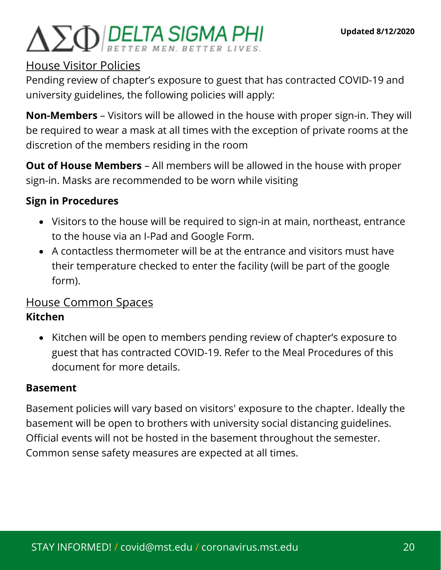## $\Delta \Sigma \Phi$ BELTA SIGMA PHI

#### House Visitor Policies

Pending review of chapter's exposure to guest that has contracted COVID-19 and university guidelines, the following policies will apply:

Non-Members – Visitors will be allowed in the house with proper sign-in. They will be required to wear a mask at all times with the exception of private rooms at the discretion of the members residing in the room

Out of House Members – All members will be allowed in the house with proper sign-in. Masks are recommended to be worn while visiting

#### Sign in Procedures

- Visitors to the house will be required to sign-in at main, northeast, entrance to the house via an I-Pad and Google Form.
- A contactless thermometer will be at the entrance and visitors must have their temperature checked to enter the facility (will be part of the google form).

#### House Common Spaces Kitchen

• Kitchen will be open to members pending review of chapter's exposure to guest that has contracted COVID-19. Refer to the Meal Procedures of this document for more details.

#### Basement

Basement policies will vary based on visitors' exposure to the chapter. Ideally the basement will be open to brothers with university social distancing guidelines. Official events will not be hosted in the basement throughout the semester. Common sense safety measures are expected at all times.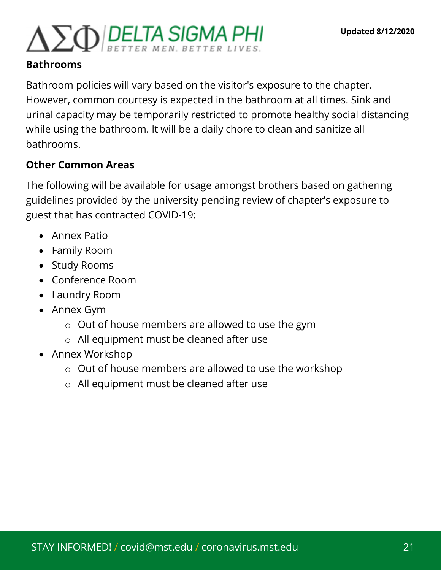## $\Delta \Sigma \Phi$ BELTA SIGMA PHI

#### Bathrooms

Bathroom policies will vary based on the visitor's exposure to the chapter. However, common courtesy is expected in the bathroom at all times. Sink and urinal capacity may be temporarily restricted to promote healthy social distancing while using the bathroom. It will be a daily chore to clean and sanitize all bathrooms.

#### Other Common Areas

The following will be available for usage amongst brothers based on gathering guidelines provided by the university pending review of chapter's exposure to guest that has contracted COVID-19:

- Annex Patio
- Family Room
- Study Rooms
- Conference Room
- Laundry Room
- Annex Gym
	- o Out of house members are allowed to use the gym
	- o All equipment must be cleaned after use
- Annex Workshop
	- o Out of house members are allowed to use the workshop
	- o All equipment must be cleaned after use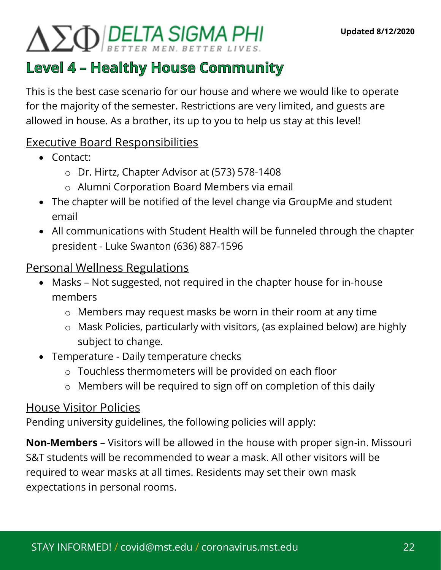# $\Delta \sum Q$  DELTA SIGMA PHI

### **Level 4 - Healthy House Community**

This is the best case scenario for our house and where we would like to operate for the majority of the semester. Restrictions are very limited, and guests are allowed in house. As a brother, its up to you to help us stay at this level!

#### Executive Board Responsibilities

- Contact:
	- o Dr. Hirtz, Chapter Advisor at (573) 578-1408
	- o Alumni Corporation Board Members via email
- The chapter will be notified of the level change via GroupMe and student email
- All communications with Student Health will be funneled through the chapter president - Luke Swanton (636) 887-1596

#### Personal Wellness Regulations

- Masks Not suggested, not required in the chapter house for in-house members
	- o Members may request masks be worn in their room at any time
	- o Mask Policies, particularly with visitors, (as explained below) are highly subject to change.
- Temperature Daily temperature checks
	- o Touchless thermometers will be provided on each floor
	- o Members will be required to sign off on completion of this daily

#### House Visitor Policies

Pending university guidelines, the following policies will apply:

Non-Members – Visitors will be allowed in the house with proper sign-in. Missouri S&T students will be recommended to wear a mask. All other visitors will be required to wear masks at all times. Residents may set their own mask expectations in personal rooms.